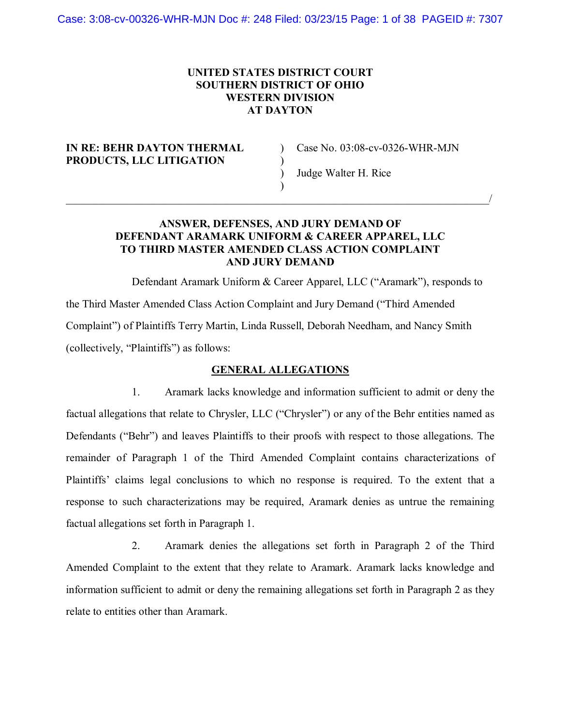## **UNITED STATES DISTRICT COURT SOUTHERN DISTRICT OF OHIO WESTERN DIVISION AT DAYTON**

### **IN RE: BEHR DAYTON THERMAL** Case No. 03:08-cv-0326-WHR-MJN **PRODUCTS, LLC LITIGATION** )

) Judge Walter H. Rice

## **ANSWER, DEFENSES, AND JURY DEMAND OF DEFENDANT ARAMARK UNIFORM & CAREER APPAREL, LLC TO THIRD MASTER AMENDED CLASS ACTION COMPLAINT AND JURY DEMAND**

)  $\overline{\phantom{a}}$  , and the contract of the contract of the contract of the contract of the contract of the contract of the contract of the contract of the contract of the contract of the contract of the contract of the contrac

Defendant Aramark Uniform & Career Apparel, LLC ("Aramark"), responds to the Third Master Amended Class Action Complaint and Jury Demand ("Third Amended Complaint") of Plaintiffs Terry Martin, Linda Russell, Deborah Needham, and Nancy Smith (collectively, "Plaintiffs") as follows:

### **GENERAL ALLEGATIONS**

1. Aramark lacks knowledge and information sufficient to admit or deny the factual allegations that relate to Chrysler, LLC ("Chrysler") or any of the Behr entities named as Defendants ("Behr") and leaves Plaintiffs to their proofs with respect to those allegations. The remainder of Paragraph 1 of the Third Amended Complaint contains characterizations of Plaintiffs' claims legal conclusions to which no response is required. To the extent that a response to such characterizations may be required, Aramark denies as untrue the remaining factual allegations set forth in Paragraph 1.

2. Aramark denies the allegations set forth in Paragraph 2 of the Third Amended Complaint to the extent that they relate to Aramark. Aramark lacks knowledge and information sufficient to admit or deny the remaining allegations set forth in Paragraph 2 as they relate to entities other than Aramark.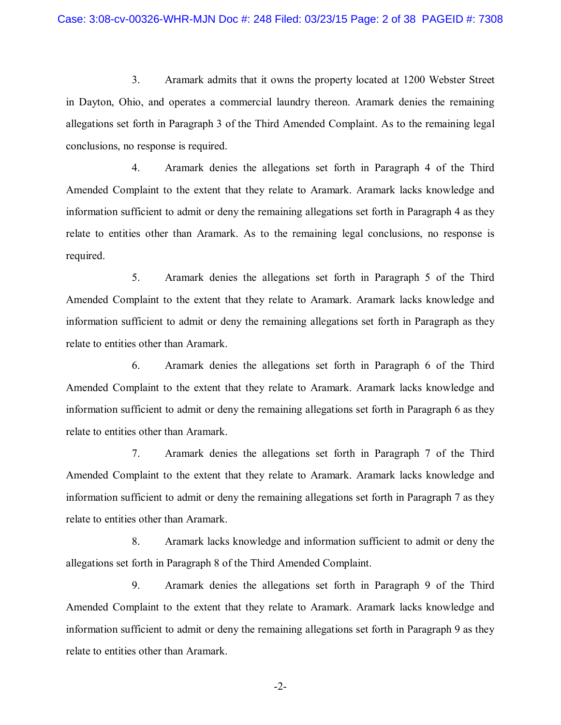3. Aramark admits that it owns the property located at 1200 Webster Street in Dayton, Ohio, and operates a commercial laundry thereon. Aramark denies the remaining allegations set forth in Paragraph 3 of the Third Amended Complaint. As to the remaining legal conclusions, no response is required.

4. Aramark denies the allegations set forth in Paragraph 4 of the Third Amended Complaint to the extent that they relate to Aramark. Aramark lacks knowledge and information sufficient to admit or deny the remaining allegations set forth in Paragraph 4 as they relate to entities other than Aramark. As to the remaining legal conclusions, no response is required.

5. Aramark denies the allegations set forth in Paragraph 5 of the Third Amended Complaint to the extent that they relate to Aramark. Aramark lacks knowledge and information sufficient to admit or deny the remaining allegations set forth in Paragraph as they relate to entities other than Aramark.

6. Aramark denies the allegations set forth in Paragraph 6 of the Third Amended Complaint to the extent that they relate to Aramark. Aramark lacks knowledge and information sufficient to admit or deny the remaining allegations set forth in Paragraph 6 as they relate to entities other than Aramark.

7. Aramark denies the allegations set forth in Paragraph 7 of the Third Amended Complaint to the extent that they relate to Aramark. Aramark lacks knowledge and information sufficient to admit or deny the remaining allegations set forth in Paragraph 7 as they relate to entities other than Aramark.

8. Aramark lacks knowledge and information sufficient to admit or deny the allegations set forth in Paragraph 8 of the Third Amended Complaint.

9. Aramark denies the allegations set forth in Paragraph 9 of the Third Amended Complaint to the extent that they relate to Aramark. Aramark lacks knowledge and information sufficient to admit or deny the remaining allegations set forth in Paragraph 9 as they relate to entities other than Aramark.

-2-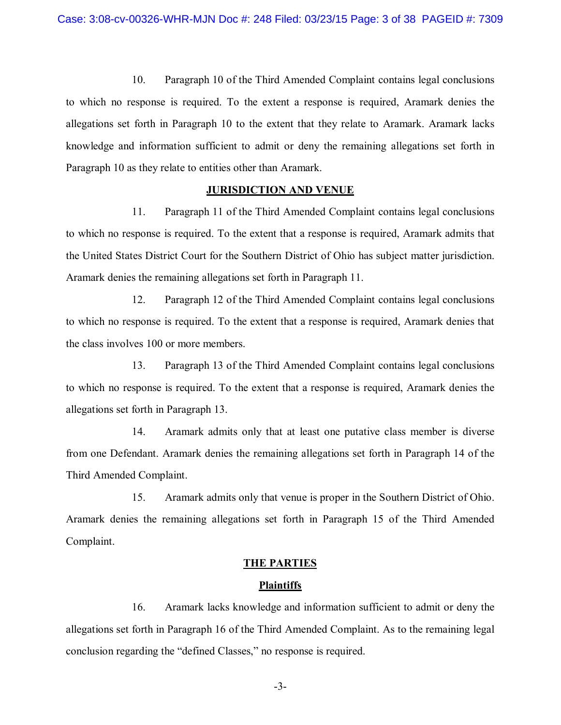10. Paragraph 10 of the Third Amended Complaint contains legal conclusions to which no response is required. To the extent a response is required, Aramark denies the allegations set forth in Paragraph 10 to the extent that they relate to Aramark. Aramark lacks knowledge and information sufficient to admit or deny the remaining allegations set forth in Paragraph 10 as they relate to entities other than Aramark.

#### **JURISDICTION AND VENUE**

11. Paragraph 11 of the Third Amended Complaint contains legal conclusions to which no response is required. To the extent that a response is required, Aramark admits that the United States District Court for the Southern District of Ohio has subject matter jurisdiction. Aramark denies the remaining allegations set forth in Paragraph 11.

12. Paragraph 12 of the Third Amended Complaint contains legal conclusions to which no response is required. To the extent that a response is required, Aramark denies that the class involves 100 or more members.

13. Paragraph 13 of the Third Amended Complaint contains legal conclusions to which no response is required. To the extent that a response is required, Aramark denies the allegations set forth in Paragraph 13.

14. Aramark admits only that at least one putative class member is diverse from one Defendant. Aramark denies the remaining allegations set forth in Paragraph 14 of the Third Amended Complaint.

15. Aramark admits only that venue is proper in the Southern District of Ohio. Aramark denies the remaining allegations set forth in Paragraph 15 of the Third Amended Complaint.

## **THE PARTIES**

#### **Plaintiffs**

16. Aramark lacks knowledge and information sufficient to admit or deny the allegations set forth in Paragraph 16 of the Third Amended Complaint. As to the remaining legal conclusion regarding the "defined Classes," no response is required.

-3-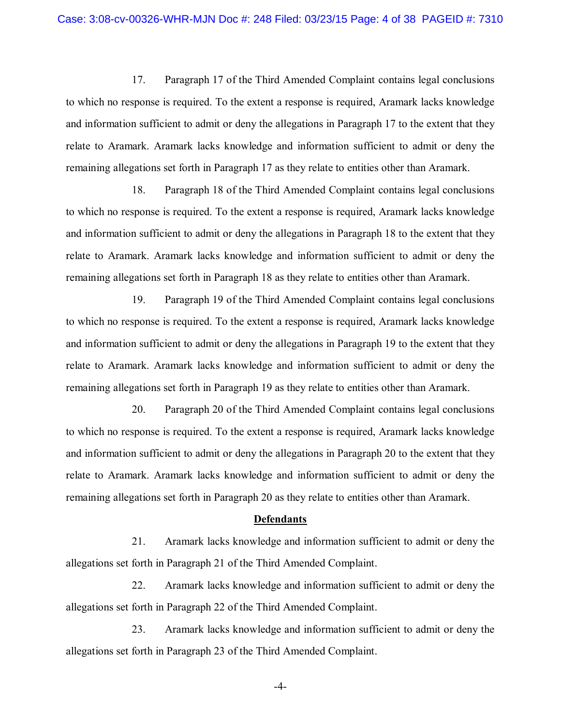17. Paragraph 17 of the Third Amended Complaint contains legal conclusions to which no response is required. To the extent a response is required, Aramark lacks knowledge and information sufficient to admit or deny the allegations in Paragraph 17 to the extent that they relate to Aramark. Aramark lacks knowledge and information sufficient to admit or deny the remaining allegations set forth in Paragraph 17 as they relate to entities other than Aramark.

18. Paragraph 18 of the Third Amended Complaint contains legal conclusions to which no response is required. To the extent a response is required, Aramark lacks knowledge and information sufficient to admit or deny the allegations in Paragraph 18 to the extent that they relate to Aramark. Aramark lacks knowledge and information sufficient to admit or deny the remaining allegations set forth in Paragraph 18 as they relate to entities other than Aramark.

19. Paragraph 19 of the Third Amended Complaint contains legal conclusions to which no response is required. To the extent a response is required, Aramark lacks knowledge and information sufficient to admit or deny the allegations in Paragraph 19 to the extent that they relate to Aramark. Aramark lacks knowledge and information sufficient to admit or deny the remaining allegations set forth in Paragraph 19 as they relate to entities other than Aramark.

20. Paragraph 20 of the Third Amended Complaint contains legal conclusions to which no response is required. To the extent a response is required, Aramark lacks knowledge and information sufficient to admit or deny the allegations in Paragraph 20 to the extent that they relate to Aramark. Aramark lacks knowledge and information sufficient to admit or deny the remaining allegations set forth in Paragraph 20 as they relate to entities other than Aramark.

#### **Defendants**

21. Aramark lacks knowledge and information sufficient to admit or deny the allegations set forth in Paragraph 21 of the Third Amended Complaint.

22. Aramark lacks knowledge and information sufficient to admit or deny the allegations set forth in Paragraph 22 of the Third Amended Complaint.

23. Aramark lacks knowledge and information sufficient to admit or deny the allegations set forth in Paragraph 23 of the Third Amended Complaint.

-4-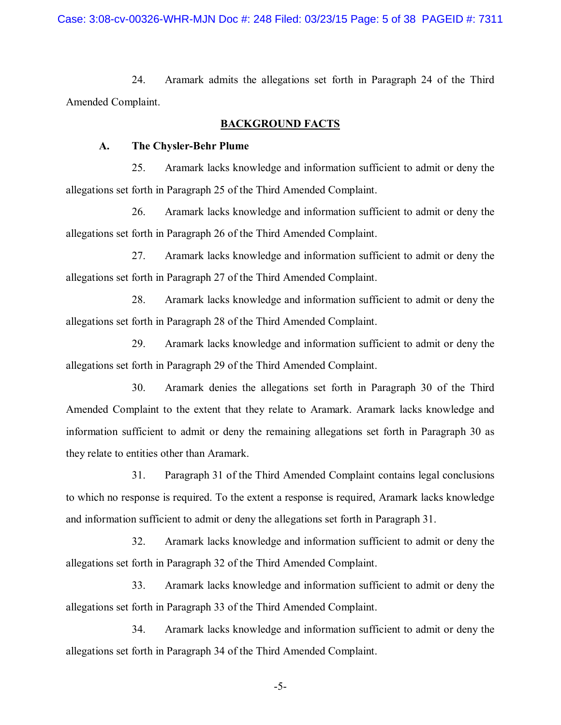24. Aramark admits the allegations set forth in Paragraph 24 of the Third Amended Complaint.

#### **BACKGROUND FACTS**

### **A. The Chysler-Behr Plume**

25. Aramark lacks knowledge and information sufficient to admit or deny the allegations set forth in Paragraph 25 of the Third Amended Complaint.

26. Aramark lacks knowledge and information sufficient to admit or deny the allegations set forth in Paragraph 26 of the Third Amended Complaint.

27. Aramark lacks knowledge and information sufficient to admit or deny the allegations set forth in Paragraph 27 of the Third Amended Complaint.

28. Aramark lacks knowledge and information sufficient to admit or deny the allegations set forth in Paragraph 28 of the Third Amended Complaint.

29. Aramark lacks knowledge and information sufficient to admit or deny the allegations set forth in Paragraph 29 of the Third Amended Complaint.

30. Aramark denies the allegations set forth in Paragraph 30 of the Third Amended Complaint to the extent that they relate to Aramark. Aramark lacks knowledge and information sufficient to admit or deny the remaining allegations set forth in Paragraph 30 as they relate to entities other than Aramark.

31. Paragraph 31 of the Third Amended Complaint contains legal conclusions to which no response is required. To the extent a response is required, Aramark lacks knowledge and information sufficient to admit or deny the allegations set forth in Paragraph 31.

32. Aramark lacks knowledge and information sufficient to admit or deny the allegations set forth in Paragraph 32 of the Third Amended Complaint.

33. Aramark lacks knowledge and information sufficient to admit or deny the allegations set forth in Paragraph 33 of the Third Amended Complaint.

34. Aramark lacks knowledge and information sufficient to admit or deny the allegations set forth in Paragraph 34 of the Third Amended Complaint.

-5-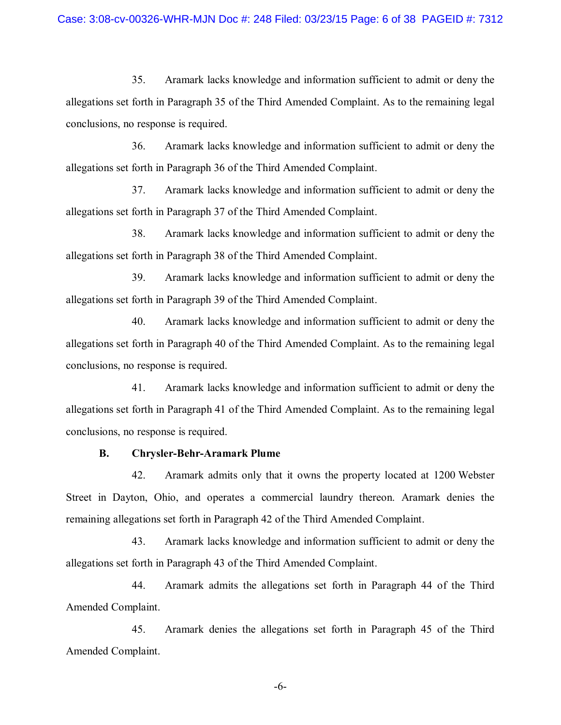35. Aramark lacks knowledge and information sufficient to admit or deny the allegations set forth in Paragraph 35 of the Third Amended Complaint. As to the remaining legal conclusions, no response is required.

36. Aramark lacks knowledge and information sufficient to admit or deny the allegations set forth in Paragraph 36 of the Third Amended Complaint.

37. Aramark lacks knowledge and information sufficient to admit or deny the allegations set forth in Paragraph 37 of the Third Amended Complaint.

38. Aramark lacks knowledge and information sufficient to admit or deny the allegations set forth in Paragraph 38 of the Third Amended Complaint.

39. Aramark lacks knowledge and information sufficient to admit or deny the allegations set forth in Paragraph 39 of the Third Amended Complaint.

40. Aramark lacks knowledge and information sufficient to admit or deny the allegations set forth in Paragraph 40 of the Third Amended Complaint. As to the remaining legal conclusions, no response is required.

41. Aramark lacks knowledge and information sufficient to admit or deny the allegations set forth in Paragraph 41 of the Third Amended Complaint. As to the remaining legal conclusions, no response is required.

### **B. Chrysler-Behr-Aramark Plume**

42. Aramark admits only that it owns the property located at 1200 Webster Street in Dayton, Ohio, and operates a commercial laundry thereon. Aramark denies the remaining allegations set forth in Paragraph 42 of the Third Amended Complaint.

43. Aramark lacks knowledge and information sufficient to admit or deny the allegations set forth in Paragraph 43 of the Third Amended Complaint.

44. Aramark admits the allegations set forth in Paragraph 44 of the Third Amended Complaint.

45. Aramark denies the allegations set forth in Paragraph 45 of the Third Amended Complaint.

-6-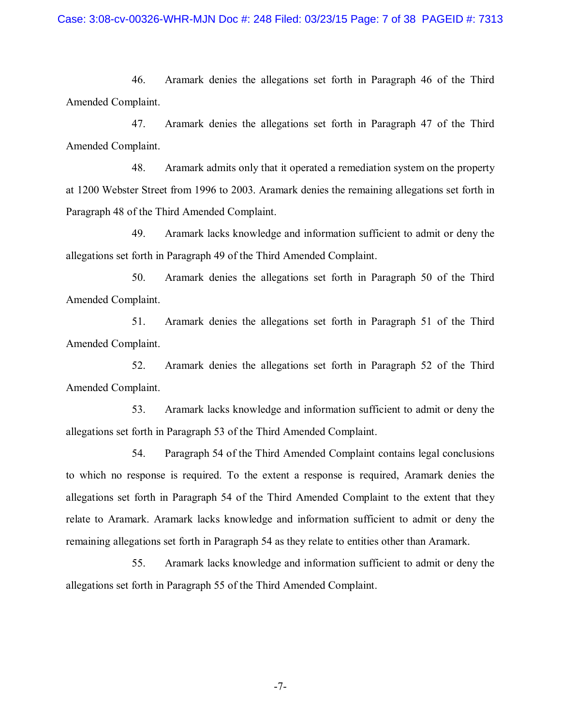46. Aramark denies the allegations set forth in Paragraph 46 of the Third Amended Complaint.

47. Aramark denies the allegations set forth in Paragraph 47 of the Third Amended Complaint.

48. Aramark admits only that it operated a remediation system on the property at 1200 Webster Street from 1996 to 2003. Aramark denies the remaining allegations set forth in Paragraph 48 of the Third Amended Complaint.

49. Aramark lacks knowledge and information sufficient to admit or deny the allegations set forth in Paragraph 49 of the Third Amended Complaint.

50. Aramark denies the allegations set forth in Paragraph 50 of the Third Amended Complaint.

51. Aramark denies the allegations set forth in Paragraph 51 of the Third Amended Complaint.

52. Aramark denies the allegations set forth in Paragraph 52 of the Third Amended Complaint.

53. Aramark lacks knowledge and information sufficient to admit or deny the allegations set forth in Paragraph 53 of the Third Amended Complaint.

54. Paragraph 54 of the Third Amended Complaint contains legal conclusions to which no response is required. To the extent a response is required, Aramark denies the allegations set forth in Paragraph 54 of the Third Amended Complaint to the extent that they relate to Aramark. Aramark lacks knowledge and information sufficient to admit or deny the remaining allegations set forth in Paragraph 54 as they relate to entities other than Aramark.

55. Aramark lacks knowledge and information sufficient to admit or deny the allegations set forth in Paragraph 55 of the Third Amended Complaint.

-7-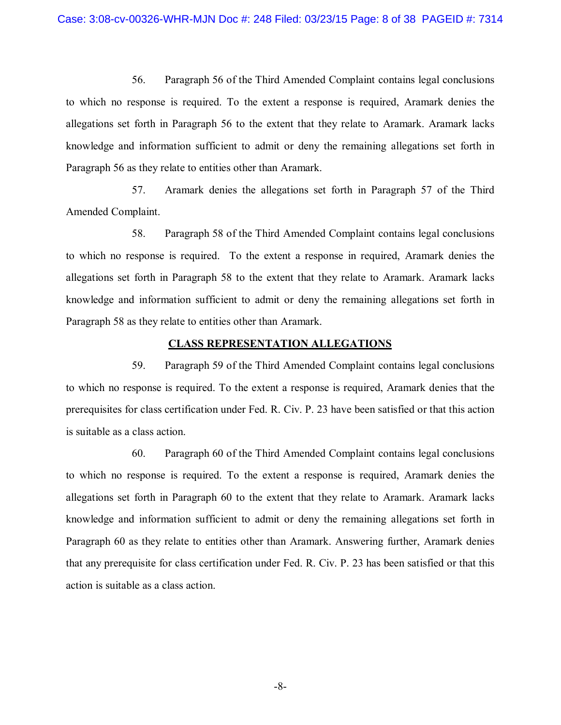56. Paragraph 56 of the Third Amended Complaint contains legal conclusions to which no response is required. To the extent a response is required, Aramark denies the allegations set forth in Paragraph 56 to the extent that they relate to Aramark. Aramark lacks knowledge and information sufficient to admit or deny the remaining allegations set forth in Paragraph 56 as they relate to entities other than Aramark.

57. Aramark denies the allegations set forth in Paragraph 57 of the Third Amended Complaint.

58. Paragraph 58 of the Third Amended Complaint contains legal conclusions to which no response is required. To the extent a response in required, Aramark denies the allegations set forth in Paragraph 58 to the extent that they relate to Aramark. Aramark lacks knowledge and information sufficient to admit or deny the remaining allegations set forth in Paragraph 58 as they relate to entities other than Aramark.

#### **CLASS REPRESENTATION ALLEGATIONS**

59. Paragraph 59 of the Third Amended Complaint contains legal conclusions to which no response is required. To the extent a response is required, Aramark denies that the prerequisites for class certification under Fed. R. Civ. P. 23 have been satisfied or that this action is suitable as a class action.

60. Paragraph 60 of the Third Amended Complaint contains legal conclusions to which no response is required. To the extent a response is required, Aramark denies the allegations set forth in Paragraph 60 to the extent that they relate to Aramark. Aramark lacks knowledge and information sufficient to admit or deny the remaining allegations set forth in Paragraph 60 as they relate to entities other than Aramark. Answering further, Aramark denies that any prerequisite for class certification under Fed. R. Civ. P. 23 has been satisfied or that this action is suitable as a class action.

-8-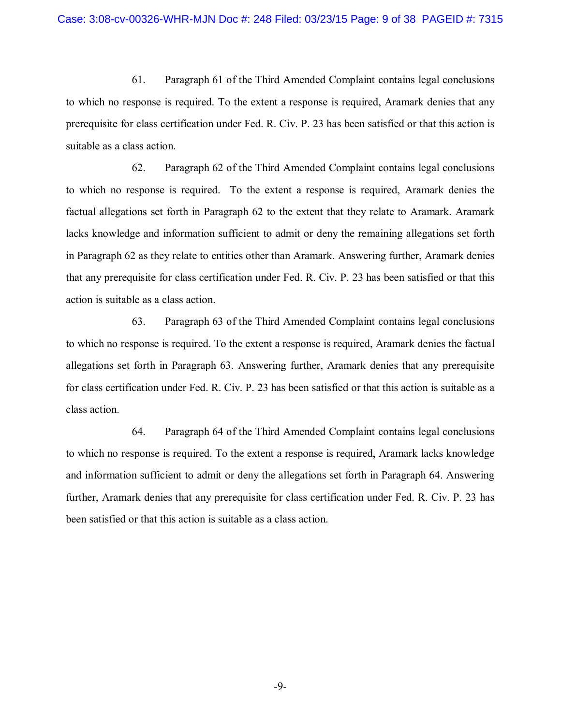61. Paragraph 61 of the Third Amended Complaint contains legal conclusions to which no response is required. To the extent a response is required, Aramark denies that any prerequisite for class certification under Fed. R. Civ. P. 23 has been satisfied or that this action is suitable as a class action.

62. Paragraph 62 of the Third Amended Complaint contains legal conclusions to which no response is required. To the extent a response is required, Aramark denies the factual allegations set forth in Paragraph 62 to the extent that they relate to Aramark. Aramark lacks knowledge and information sufficient to admit or deny the remaining allegations set forth in Paragraph 62 as they relate to entities other than Aramark. Answering further, Aramark denies that any prerequisite for class certification under Fed. R. Civ. P. 23 has been satisfied or that this action is suitable as a class action.

63. Paragraph 63 of the Third Amended Complaint contains legal conclusions to which no response is required. To the extent a response is required, Aramark denies the factual allegations set forth in Paragraph 63. Answering further, Aramark denies that any prerequisite for class certification under Fed. R. Civ. P. 23 has been satisfied or that this action is suitable as a class action.

64. Paragraph 64 of the Third Amended Complaint contains legal conclusions to which no response is required. To the extent a response is required, Aramark lacks knowledge and information sufficient to admit or deny the allegations set forth in Paragraph 64. Answering further, Aramark denies that any prerequisite for class certification under Fed. R. Civ. P. 23 has been satisfied or that this action is suitable as a class action.

-9-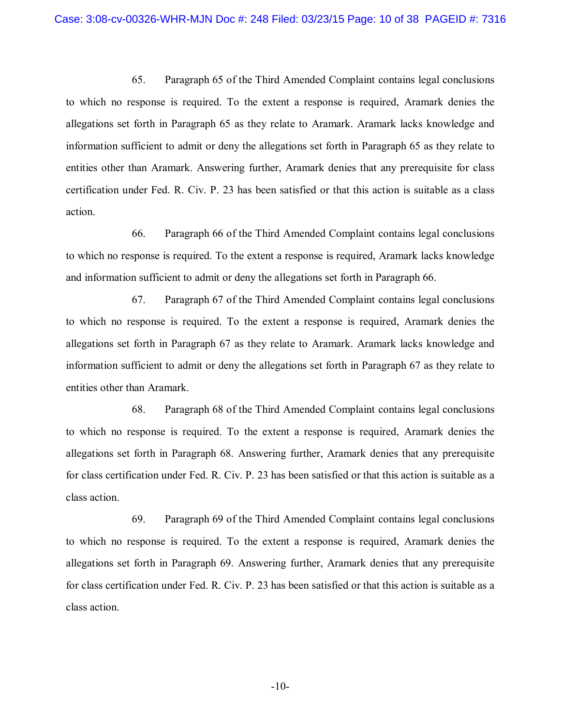65. Paragraph 65 of the Third Amended Complaint contains legal conclusions to which no response is required. To the extent a response is required, Aramark denies the allegations set forth in Paragraph 65 as they relate to Aramark. Aramark lacks knowledge and information sufficient to admit or deny the allegations set forth in Paragraph 65 as they relate to entities other than Aramark. Answering further, Aramark denies that any prerequisite for class certification under Fed. R. Civ. P. 23 has been satisfied or that this action is suitable as a class action.

66. Paragraph 66 of the Third Amended Complaint contains legal conclusions to which no response is required. To the extent a response is required, Aramark lacks knowledge and information sufficient to admit or deny the allegations set forth in Paragraph 66.

67. Paragraph 67 of the Third Amended Complaint contains legal conclusions to which no response is required. To the extent a response is required, Aramark denies the allegations set forth in Paragraph 67 as they relate to Aramark. Aramark lacks knowledge and information sufficient to admit or deny the allegations set forth in Paragraph 67 as they relate to entities other than Aramark.

68. Paragraph 68 of the Third Amended Complaint contains legal conclusions to which no response is required. To the extent a response is required, Aramark denies the allegations set forth in Paragraph 68. Answering further, Aramark denies that any prerequisite for class certification under Fed. R. Civ. P. 23 has been satisfied or that this action is suitable as a class action.

69. Paragraph 69 of the Third Amended Complaint contains legal conclusions to which no response is required. To the extent a response is required, Aramark denies the allegations set forth in Paragraph 69. Answering further, Aramark denies that any prerequisite for class certification under Fed. R. Civ. P. 23 has been satisfied or that this action is suitable as a class action.

-10-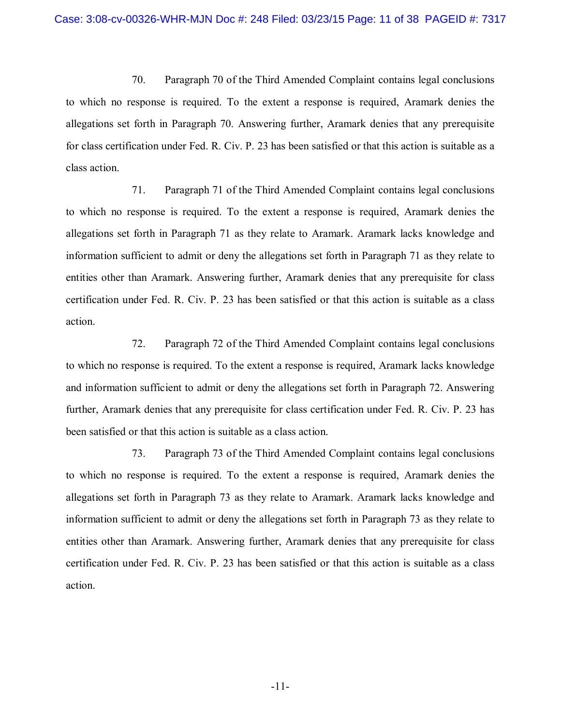70. Paragraph 70 of the Third Amended Complaint contains legal conclusions to which no response is required. To the extent a response is required, Aramark denies the allegations set forth in Paragraph 70. Answering further, Aramark denies that any prerequisite for class certification under Fed. R. Civ. P. 23 has been satisfied or that this action is suitable as a class action.

71. Paragraph 71 of the Third Amended Complaint contains legal conclusions to which no response is required. To the extent a response is required, Aramark denies the allegations set forth in Paragraph 71 as they relate to Aramark. Aramark lacks knowledge and information sufficient to admit or deny the allegations set forth in Paragraph 71 as they relate to entities other than Aramark. Answering further, Aramark denies that any prerequisite for class certification under Fed. R. Civ. P. 23 has been satisfied or that this action is suitable as a class action.

72. Paragraph 72 of the Third Amended Complaint contains legal conclusions to which no response is required. To the extent a response is required, Aramark lacks knowledge and information sufficient to admit or deny the allegations set forth in Paragraph 72. Answering further, Aramark denies that any prerequisite for class certification under Fed. R. Civ. P. 23 has been satisfied or that this action is suitable as a class action.

73. Paragraph 73 of the Third Amended Complaint contains legal conclusions to which no response is required. To the extent a response is required, Aramark denies the allegations set forth in Paragraph 73 as they relate to Aramark. Aramark lacks knowledge and information sufficient to admit or deny the allegations set forth in Paragraph 73 as they relate to entities other than Aramark. Answering further, Aramark denies that any prerequisite for class certification under Fed. R. Civ. P. 23 has been satisfied or that this action is suitable as a class action.

-11-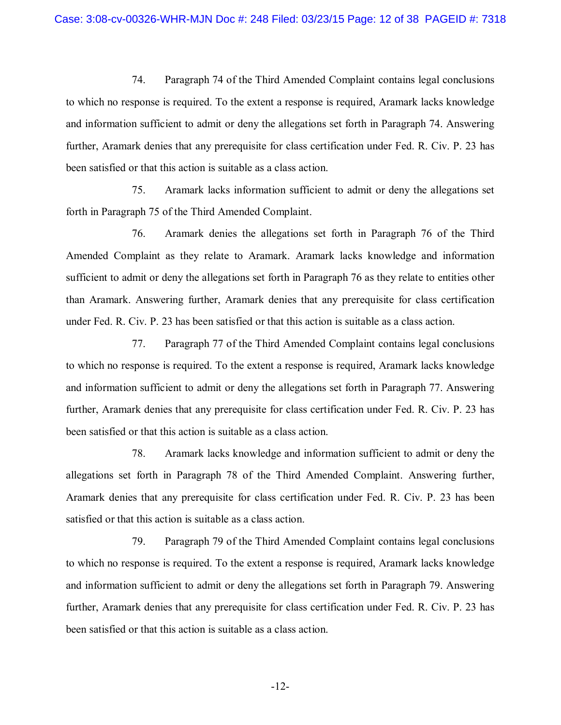74. Paragraph 74 of the Third Amended Complaint contains legal conclusions to which no response is required. To the extent a response is required, Aramark lacks knowledge and information sufficient to admit or deny the allegations set forth in Paragraph 74. Answering further, Aramark denies that any prerequisite for class certification under Fed. R. Civ. P. 23 has been satisfied or that this action is suitable as a class action.

75. Aramark lacks information sufficient to admit or deny the allegations set forth in Paragraph 75 of the Third Amended Complaint.

76. Aramark denies the allegations set forth in Paragraph 76 of the Third Amended Complaint as they relate to Aramark. Aramark lacks knowledge and information sufficient to admit or deny the allegations set forth in Paragraph 76 as they relate to entities other than Aramark. Answering further, Aramark denies that any prerequisite for class certification under Fed. R. Civ. P. 23 has been satisfied or that this action is suitable as a class action.

77. Paragraph 77 of the Third Amended Complaint contains legal conclusions to which no response is required. To the extent a response is required, Aramark lacks knowledge and information sufficient to admit or deny the allegations set forth in Paragraph 77. Answering further, Aramark denies that any prerequisite for class certification under Fed. R. Civ. P. 23 has been satisfied or that this action is suitable as a class action.

78. Aramark lacks knowledge and information sufficient to admit or deny the allegations set forth in Paragraph 78 of the Third Amended Complaint. Answering further, Aramark denies that any prerequisite for class certification under Fed. R. Civ. P. 23 has been satisfied or that this action is suitable as a class action.

79. Paragraph 79 of the Third Amended Complaint contains legal conclusions to which no response is required. To the extent a response is required, Aramark lacks knowledge and information sufficient to admit or deny the allegations set forth in Paragraph 79. Answering further, Aramark denies that any prerequisite for class certification under Fed. R. Civ. P. 23 has been satisfied or that this action is suitable as a class action.

-12-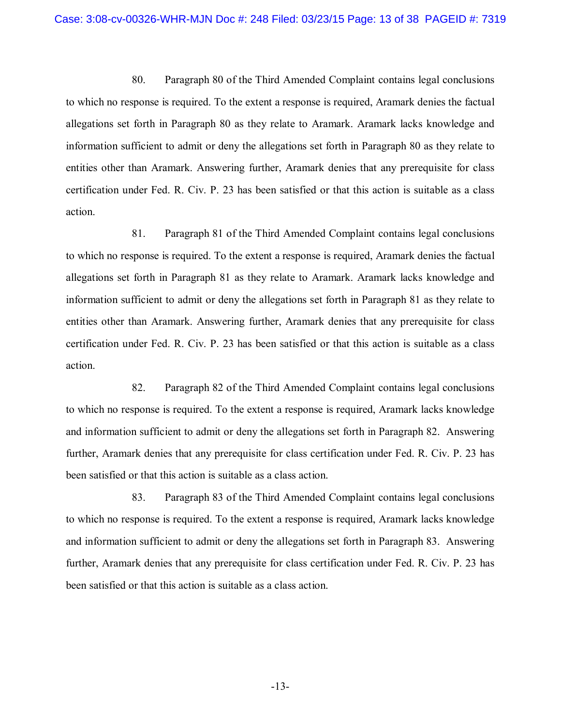80. Paragraph 80 of the Third Amended Complaint contains legal conclusions to which no response is required. To the extent a response is required, Aramark denies the factual allegations set forth in Paragraph 80 as they relate to Aramark. Aramark lacks knowledge and information sufficient to admit or deny the allegations set forth in Paragraph 80 as they relate to entities other than Aramark. Answering further, Aramark denies that any prerequisite for class certification under Fed. R. Civ. P. 23 has been satisfied or that this action is suitable as a class action.

81. Paragraph 81 of the Third Amended Complaint contains legal conclusions to which no response is required. To the extent a response is required, Aramark denies the factual allegations set forth in Paragraph 81 as they relate to Aramark. Aramark lacks knowledge and information sufficient to admit or deny the allegations set forth in Paragraph 81 as they relate to entities other than Aramark. Answering further, Aramark denies that any prerequisite for class certification under Fed. R. Civ. P. 23 has been satisfied or that this action is suitable as a class action.

82. Paragraph 82 of the Third Amended Complaint contains legal conclusions to which no response is required. To the extent a response is required, Aramark lacks knowledge and information sufficient to admit or deny the allegations set forth in Paragraph 82. Answering further, Aramark denies that any prerequisite for class certification under Fed. R. Civ. P. 23 has been satisfied or that this action is suitable as a class action.

83. Paragraph 83 of the Third Amended Complaint contains legal conclusions to which no response is required. To the extent a response is required, Aramark lacks knowledge and information sufficient to admit or deny the allegations set forth in Paragraph 83. Answering further, Aramark denies that any prerequisite for class certification under Fed. R. Civ. P. 23 has been satisfied or that this action is suitable as a class action.

-13-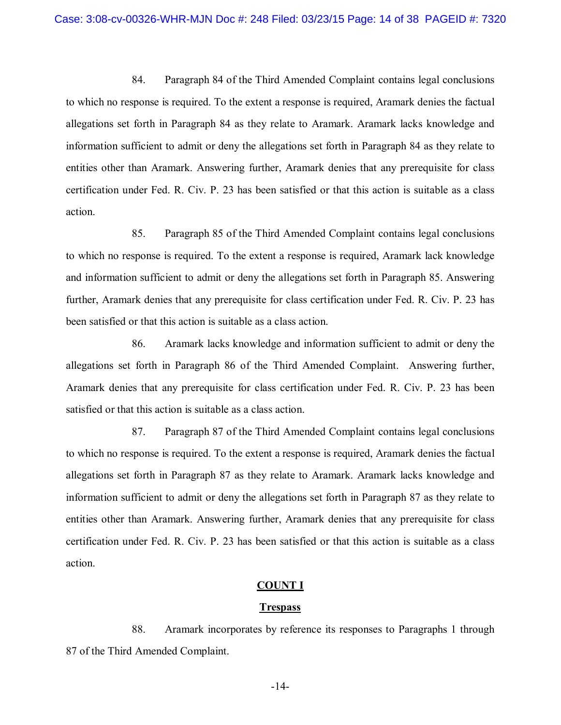84. Paragraph 84 of the Third Amended Complaint contains legal conclusions to which no response is required. To the extent a response is required, Aramark denies the factual allegations set forth in Paragraph 84 as they relate to Aramark. Aramark lacks knowledge and information sufficient to admit or deny the allegations set forth in Paragraph 84 as they relate to entities other than Aramark. Answering further, Aramark denies that any prerequisite for class certification under Fed. R. Civ. P. 23 has been satisfied or that this action is suitable as a class action.

85. Paragraph 85 of the Third Amended Complaint contains legal conclusions to which no response is required. To the extent a response is required, Aramark lack knowledge and information sufficient to admit or deny the allegations set forth in Paragraph 85. Answering further, Aramark denies that any prerequisite for class certification under Fed. R. Civ. P. 23 has been satisfied or that this action is suitable as a class action.

86. Aramark lacks knowledge and information sufficient to admit or deny the allegations set forth in Paragraph 86 of the Third Amended Complaint. Answering further, Aramark denies that any prerequisite for class certification under Fed. R. Civ. P. 23 has been satisfied or that this action is suitable as a class action.

87. Paragraph 87 of the Third Amended Complaint contains legal conclusions to which no response is required. To the extent a response is required, Aramark denies the factual allegations set forth in Paragraph 87 as they relate to Aramark. Aramark lacks knowledge and information sufficient to admit or deny the allegations set forth in Paragraph 87 as they relate to entities other than Aramark. Answering further, Aramark denies that any prerequisite for class certification under Fed. R. Civ. P. 23 has been satisfied or that this action is suitable as a class action.

#### **COUNT I**

#### **Trespass**

88. Aramark incorporates by reference its responses to Paragraphs 1 through 87 of the Third Amended Complaint.

-14-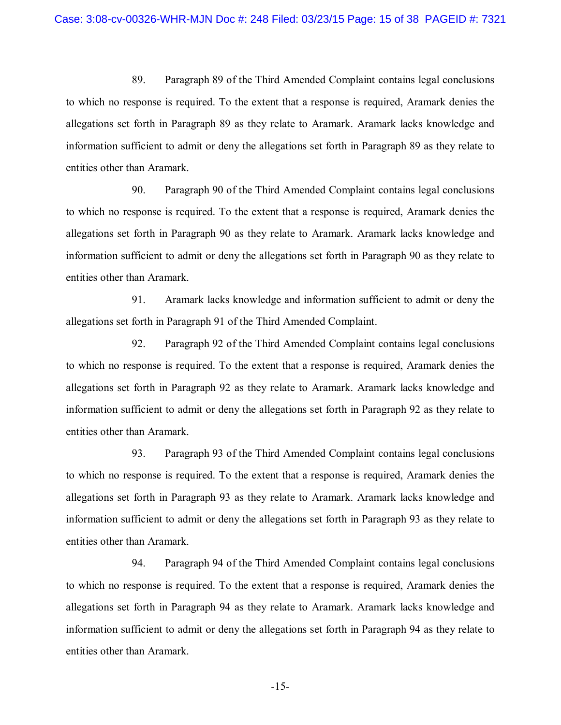89. Paragraph 89 of the Third Amended Complaint contains legal conclusions to which no response is required. To the extent that a response is required, Aramark denies the allegations set forth in Paragraph 89 as they relate to Aramark. Aramark lacks knowledge and information sufficient to admit or deny the allegations set forth in Paragraph 89 as they relate to entities other than Aramark.

90. Paragraph 90 of the Third Amended Complaint contains legal conclusions to which no response is required. To the extent that a response is required, Aramark denies the allegations set forth in Paragraph 90 as they relate to Aramark. Aramark lacks knowledge and information sufficient to admit or deny the allegations set forth in Paragraph 90 as they relate to entities other than Aramark.

91. Aramark lacks knowledge and information sufficient to admit or deny the allegations set forth in Paragraph 91 of the Third Amended Complaint.

92. Paragraph 92 of the Third Amended Complaint contains legal conclusions to which no response is required. To the extent that a response is required, Aramark denies the allegations set forth in Paragraph 92 as they relate to Aramark. Aramark lacks knowledge and information sufficient to admit or deny the allegations set forth in Paragraph 92 as they relate to entities other than Aramark.

93. Paragraph 93 of the Third Amended Complaint contains legal conclusions to which no response is required. To the extent that a response is required, Aramark denies the allegations set forth in Paragraph 93 as they relate to Aramark. Aramark lacks knowledge and information sufficient to admit or deny the allegations set forth in Paragraph 93 as they relate to entities other than Aramark.

94. Paragraph 94 of the Third Amended Complaint contains legal conclusions to which no response is required. To the extent that a response is required, Aramark denies the allegations set forth in Paragraph 94 as they relate to Aramark. Aramark lacks knowledge and information sufficient to admit or deny the allegations set forth in Paragraph 94 as they relate to entities other than Aramark.

-15-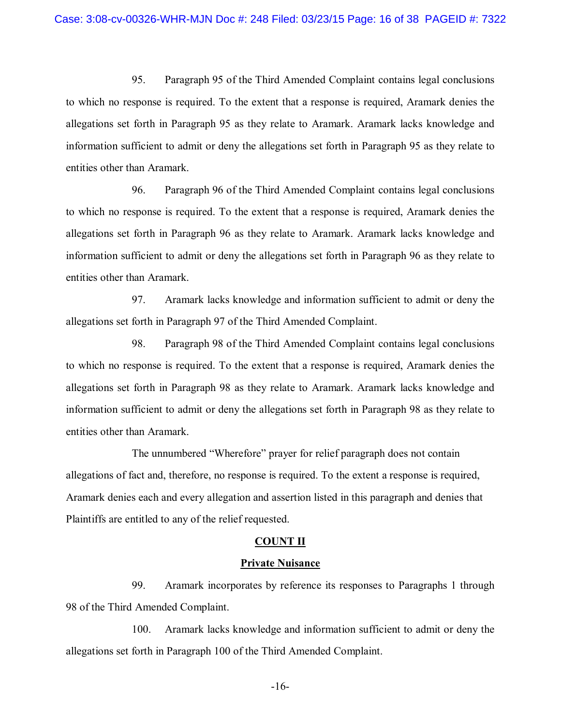95. Paragraph 95 of the Third Amended Complaint contains legal conclusions to which no response is required. To the extent that a response is required, Aramark denies the allegations set forth in Paragraph 95 as they relate to Aramark. Aramark lacks knowledge and information sufficient to admit or deny the allegations set forth in Paragraph 95 as they relate to entities other than Aramark.

96. Paragraph 96 of the Third Amended Complaint contains legal conclusions to which no response is required. To the extent that a response is required, Aramark denies the allegations set forth in Paragraph 96 as they relate to Aramark. Aramark lacks knowledge and information sufficient to admit or deny the allegations set forth in Paragraph 96 as they relate to entities other than Aramark.

97. Aramark lacks knowledge and information sufficient to admit or deny the allegations set forth in Paragraph 97 of the Third Amended Complaint.

98. Paragraph 98 of the Third Amended Complaint contains legal conclusions to which no response is required. To the extent that a response is required, Aramark denies the allegations set forth in Paragraph 98 as they relate to Aramark. Aramark lacks knowledge and information sufficient to admit or deny the allegations set forth in Paragraph 98 as they relate to entities other than Aramark.

The unnumbered "Wherefore" prayer for relief paragraph does not contain allegations of fact and, therefore, no response is required. To the extent a response is required, Aramark denies each and every allegation and assertion listed in this paragraph and denies that Plaintiffs are entitled to any of the relief requested.

#### **COUNT II**

#### **Private Nuisance**

99. Aramark incorporates by reference its responses to Paragraphs 1 through 98 of the Third Amended Complaint.

100. Aramark lacks knowledge and information sufficient to admit or deny the allegations set forth in Paragraph 100 of the Third Amended Complaint.

-16-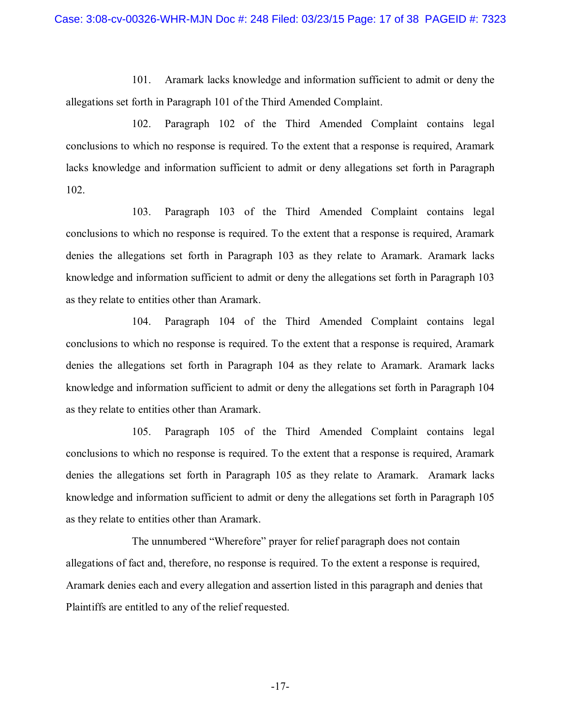101. Aramark lacks knowledge and information sufficient to admit or deny the allegations set forth in Paragraph 101 of the Third Amended Complaint.

102. Paragraph 102 of the Third Amended Complaint contains legal conclusions to which no response is required. To the extent that a response is required, Aramark lacks knowledge and information sufficient to admit or deny allegations set forth in Paragraph 102.

103. Paragraph 103 of the Third Amended Complaint contains legal conclusions to which no response is required. To the extent that a response is required, Aramark denies the allegations set forth in Paragraph 103 as they relate to Aramark. Aramark lacks knowledge and information sufficient to admit or deny the allegations set forth in Paragraph 103 as they relate to entities other than Aramark.

104. Paragraph 104 of the Third Amended Complaint contains legal conclusions to which no response is required. To the extent that a response is required, Aramark denies the allegations set forth in Paragraph 104 as they relate to Aramark. Aramark lacks knowledge and information sufficient to admit or deny the allegations set forth in Paragraph 104 as they relate to entities other than Aramark.

105. Paragraph 105 of the Third Amended Complaint contains legal conclusions to which no response is required. To the extent that a response is required, Aramark denies the allegations set forth in Paragraph 105 as they relate to Aramark. Aramark lacks knowledge and information sufficient to admit or deny the allegations set forth in Paragraph 105 as they relate to entities other than Aramark.

The unnumbered "Wherefore" prayer for relief paragraph does not contain allegations of fact and, therefore, no response is required. To the extent a response is required, Aramark denies each and every allegation and assertion listed in this paragraph and denies that Plaintiffs are entitled to any of the relief requested.

-17-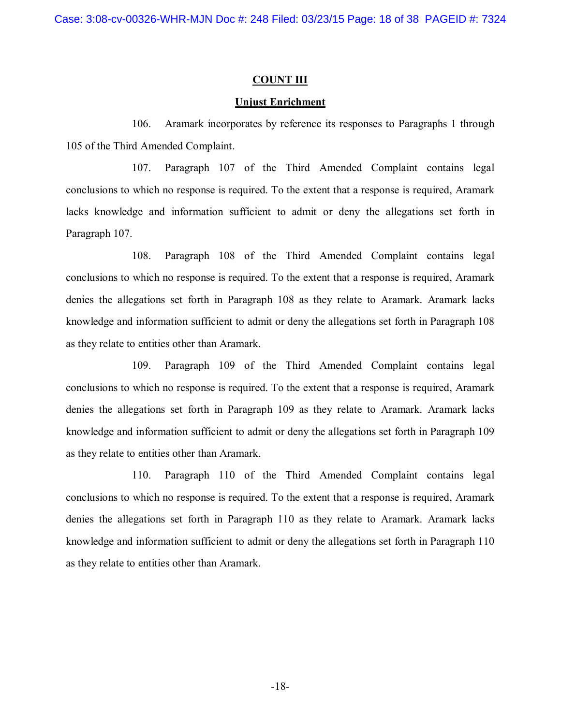## **COUNT III**

### **Unjust Enrichment**

106. Aramark incorporates by reference its responses to Paragraphs 1 through 105 of the Third Amended Complaint.

107. Paragraph 107 of the Third Amended Complaint contains legal conclusions to which no response is required. To the extent that a response is required, Aramark lacks knowledge and information sufficient to admit or deny the allegations set forth in Paragraph 107.

108. Paragraph 108 of the Third Amended Complaint contains legal conclusions to which no response is required. To the extent that a response is required, Aramark denies the allegations set forth in Paragraph 108 as they relate to Aramark. Aramark lacks knowledge and information sufficient to admit or deny the allegations set forth in Paragraph 108 as they relate to entities other than Aramark.

109. Paragraph 109 of the Third Amended Complaint contains legal conclusions to which no response is required. To the extent that a response is required, Aramark denies the allegations set forth in Paragraph 109 as they relate to Aramark. Aramark lacks knowledge and information sufficient to admit or deny the allegations set forth in Paragraph 109 as they relate to entities other than Aramark.

110. Paragraph 110 of the Third Amended Complaint contains legal conclusions to which no response is required. To the extent that a response is required, Aramark denies the allegations set forth in Paragraph 110 as they relate to Aramark. Aramark lacks knowledge and information sufficient to admit or deny the allegations set forth in Paragraph 110 as they relate to entities other than Aramark.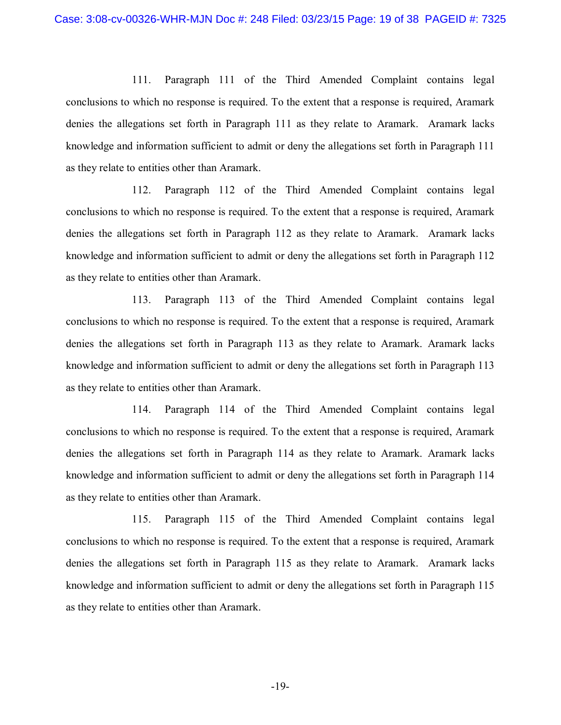111. Paragraph 111 of the Third Amended Complaint contains legal conclusions to which no response is required. To the extent that a response is required, Aramark denies the allegations set forth in Paragraph 111 as they relate to Aramark. Aramark lacks knowledge and information sufficient to admit or deny the allegations set forth in Paragraph 111 as they relate to entities other than Aramark.

112. Paragraph 112 of the Third Amended Complaint contains legal conclusions to which no response is required. To the extent that a response is required, Aramark denies the allegations set forth in Paragraph 112 as they relate to Aramark. Aramark lacks knowledge and information sufficient to admit or deny the allegations set forth in Paragraph 112 as they relate to entities other than Aramark.

113. Paragraph 113 of the Third Amended Complaint contains legal conclusions to which no response is required. To the extent that a response is required, Aramark denies the allegations set forth in Paragraph 113 as they relate to Aramark. Aramark lacks knowledge and information sufficient to admit or deny the allegations set forth in Paragraph 113 as they relate to entities other than Aramark.

114. Paragraph 114 of the Third Amended Complaint contains legal conclusions to which no response is required. To the extent that a response is required, Aramark denies the allegations set forth in Paragraph 114 as they relate to Aramark. Aramark lacks knowledge and information sufficient to admit or deny the allegations set forth in Paragraph 114 as they relate to entities other than Aramark.

115. Paragraph 115 of the Third Amended Complaint contains legal conclusions to which no response is required. To the extent that a response is required, Aramark denies the allegations set forth in Paragraph 115 as they relate to Aramark. Aramark lacks knowledge and information sufficient to admit or deny the allegations set forth in Paragraph 115 as they relate to entities other than Aramark.

-19-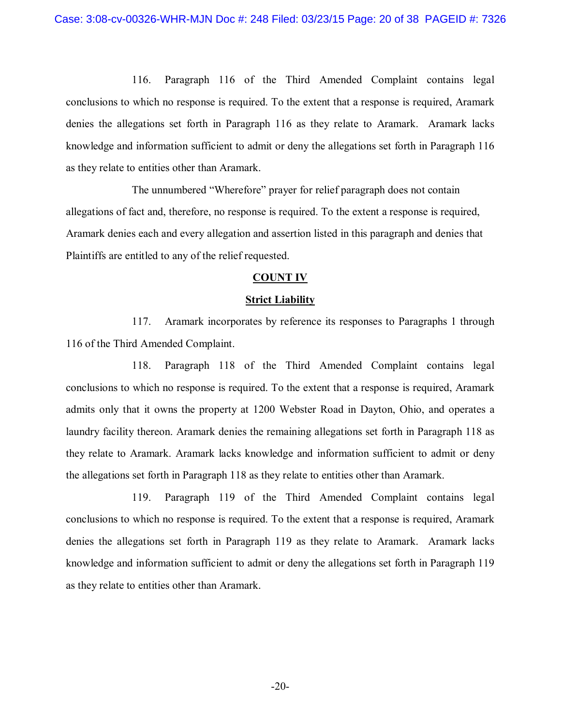116. Paragraph 116 of the Third Amended Complaint contains legal conclusions to which no response is required. To the extent that a response is required, Aramark denies the allegations set forth in Paragraph 116 as they relate to Aramark. Aramark lacks knowledge and information sufficient to admit or deny the allegations set forth in Paragraph 116 as they relate to entities other than Aramark.

The unnumbered "Wherefore" prayer for relief paragraph does not contain allegations of fact and, therefore, no response is required. To the extent a response is required, Aramark denies each and every allegation and assertion listed in this paragraph and denies that Plaintiffs are entitled to any of the relief requested.

#### **COUNT IV**

#### **Strict Liability**

117. Aramark incorporates by reference its responses to Paragraphs 1 through 116 of the Third Amended Complaint.

118. Paragraph 118 of the Third Amended Complaint contains legal conclusions to which no response is required. To the extent that a response is required, Aramark admits only that it owns the property at 1200 Webster Road in Dayton, Ohio, and operates a laundry facility thereon. Aramark denies the remaining allegations set forth in Paragraph 118 as they relate to Aramark. Aramark lacks knowledge and information sufficient to admit or deny the allegations set forth in Paragraph 118 as they relate to entities other than Aramark.

119. Paragraph 119 of the Third Amended Complaint contains legal conclusions to which no response is required. To the extent that a response is required, Aramark denies the allegations set forth in Paragraph 119 as they relate to Aramark. Aramark lacks knowledge and information sufficient to admit or deny the allegations set forth in Paragraph 119 as they relate to entities other than Aramark.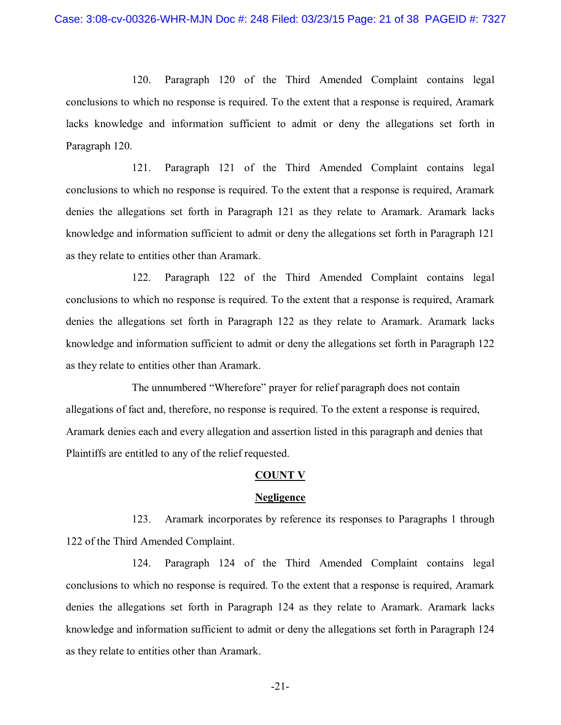120. Paragraph 120 of the Third Amended Complaint contains legal conclusions to which no response is required. To the extent that a response is required, Aramark lacks knowledge and information sufficient to admit or deny the allegations set forth in Paragraph 120.

121. Paragraph 121 of the Third Amended Complaint contains legal conclusions to which no response is required. To the extent that a response is required, Aramark denies the allegations set forth in Paragraph 121 as they relate to Aramark. Aramark lacks knowledge and information sufficient to admit or deny the allegations set forth in Paragraph 121 as they relate to entities other than Aramark.

122. Paragraph 122 of the Third Amended Complaint contains legal conclusions to which no response is required. To the extent that a response is required, Aramark denies the allegations set forth in Paragraph 122 as they relate to Aramark. Aramark lacks knowledge and information sufficient to admit or deny the allegations set forth in Paragraph 122 as they relate to entities other than Aramark.

The unnumbered "Wherefore" prayer for relief paragraph does not contain allegations of fact and, therefore, no response is required. To the extent a response is required, Aramark denies each and every allegation and assertion listed in this paragraph and denies that Plaintiffs are entitled to any of the relief requested.

#### **COUNT V**

#### **Negligence**

123. Aramark incorporates by reference its responses to Paragraphs 1 through 122 of the Third Amended Complaint.

124. Paragraph 124 of the Third Amended Complaint contains legal conclusions to which no response is required. To the extent that a response is required, Aramark denies the allegations set forth in Paragraph 124 as they relate to Aramark. Aramark lacks knowledge and information sufficient to admit or deny the allegations set forth in Paragraph 124 as they relate to entities other than Aramark.

-21-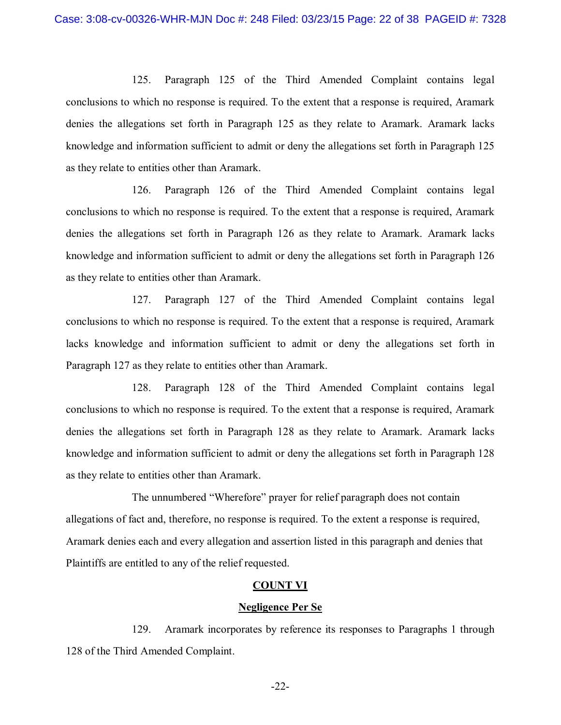125. Paragraph 125 of the Third Amended Complaint contains legal conclusions to which no response is required. To the extent that a response is required, Aramark denies the allegations set forth in Paragraph 125 as they relate to Aramark. Aramark lacks knowledge and information sufficient to admit or deny the allegations set forth in Paragraph 125 as they relate to entities other than Aramark.

126. Paragraph 126 of the Third Amended Complaint contains legal conclusions to which no response is required. To the extent that a response is required, Aramark denies the allegations set forth in Paragraph 126 as they relate to Aramark. Aramark lacks knowledge and information sufficient to admit or deny the allegations set forth in Paragraph 126 as they relate to entities other than Aramark.

127. Paragraph 127 of the Third Amended Complaint contains legal conclusions to which no response is required. To the extent that a response is required, Aramark lacks knowledge and information sufficient to admit or deny the allegations set forth in Paragraph 127 as they relate to entities other than Aramark.

128. Paragraph 128 of the Third Amended Complaint contains legal conclusions to which no response is required. To the extent that a response is required, Aramark denies the allegations set forth in Paragraph 128 as they relate to Aramark. Aramark lacks knowledge and information sufficient to admit or deny the allegations set forth in Paragraph 128 as they relate to entities other than Aramark.

The unnumbered "Wherefore" prayer for relief paragraph does not contain allegations of fact and, therefore, no response is required. To the extent a response is required, Aramark denies each and every allegation and assertion listed in this paragraph and denies that Plaintiffs are entitled to any of the relief requested.

#### **COUNT VI**

#### **Negligence Per Se**

129. Aramark incorporates by reference its responses to Paragraphs 1 through 128 of the Third Amended Complaint.

-22-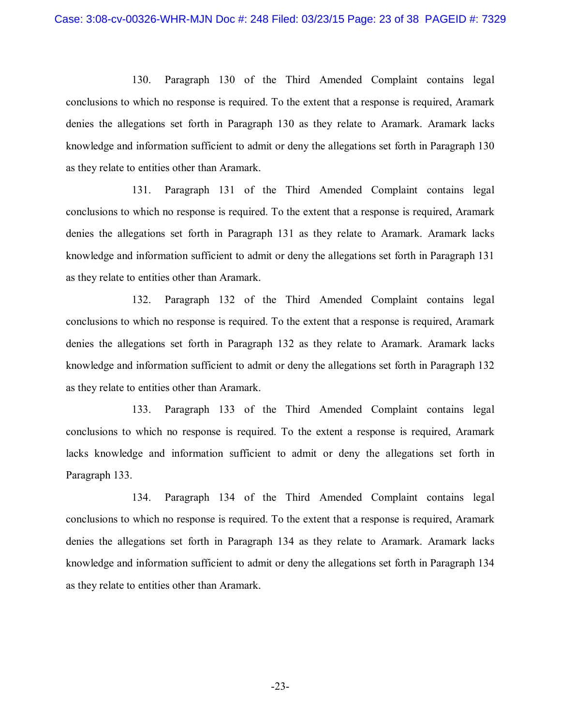130. Paragraph 130 of the Third Amended Complaint contains legal conclusions to which no response is required. To the extent that a response is required, Aramark denies the allegations set forth in Paragraph 130 as they relate to Aramark. Aramark lacks knowledge and information sufficient to admit or deny the allegations set forth in Paragraph 130 as they relate to entities other than Aramark.

131. Paragraph 131 of the Third Amended Complaint contains legal conclusions to which no response is required. To the extent that a response is required, Aramark denies the allegations set forth in Paragraph 131 as they relate to Aramark. Aramark lacks knowledge and information sufficient to admit or deny the allegations set forth in Paragraph 131 as they relate to entities other than Aramark.

132. Paragraph 132 of the Third Amended Complaint contains legal conclusions to which no response is required. To the extent that a response is required, Aramark denies the allegations set forth in Paragraph 132 as they relate to Aramark. Aramark lacks knowledge and information sufficient to admit or deny the allegations set forth in Paragraph 132 as they relate to entities other than Aramark.

133. Paragraph 133 of the Third Amended Complaint contains legal conclusions to which no response is required. To the extent a response is required, Aramark lacks knowledge and information sufficient to admit or deny the allegations set forth in Paragraph 133.

134. Paragraph 134 of the Third Amended Complaint contains legal conclusions to which no response is required. To the extent that a response is required, Aramark denies the allegations set forth in Paragraph 134 as they relate to Aramark. Aramark lacks knowledge and information sufficient to admit or deny the allegations set forth in Paragraph 134 as they relate to entities other than Aramark.

-23-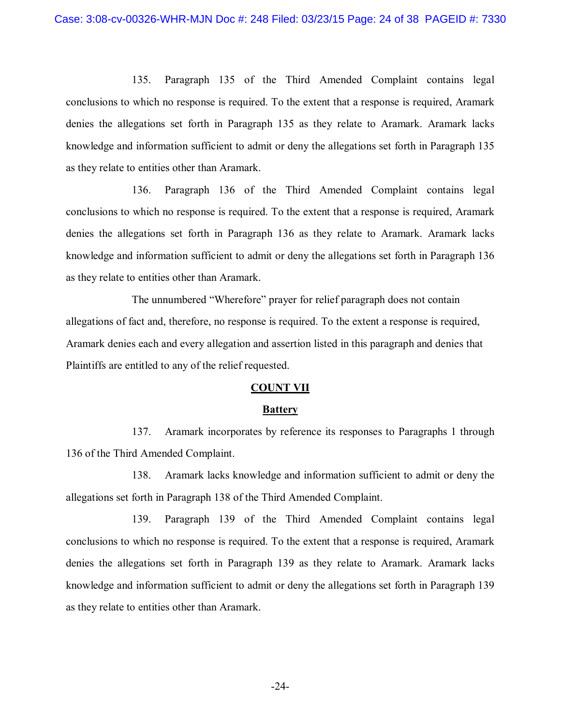135. Paragraph 135 of the Third Amended Complaint contains legal conclusions to which no response is required. To the extent that a response is required, Aramark denies the allegations set forth in Paragraph 135 as they relate to Aramark. Aramark lacks knowledge and information sufficient to admit or deny the allegations set forth in Paragraph 135 as they relate to entities other than Aramark.

136. Paragraph 136 of the Third Amended Complaint contains legal conclusions to which no response is required. To the extent that a response is required, Aramark denies the allegations set forth in Paragraph 136 as they relate to Aramark. Aramark lacks knowledge and information sufficient to admit or deny the allegations set forth in Paragraph 136 as they relate to entities other than Aramark.

The unnumbered "Wherefore" prayer for relief paragraph does not contain allegations of fact and, therefore, no response is required. To the extent a response is required, Aramark denies each and every allegation and assertion listed in this paragraph and denies that Plaintiffs are entitled to any of the relief requested.

#### **COUNT VII**

#### **Battery**

137. Aramark incorporates by reference its responses to Paragraphs 1 through 136 of the Third Amended Complaint.

138. Aramark lacks knowledge and information sufficient to admit or deny the allegations set forth in Paragraph 138 of the Third Amended Complaint.

139. Paragraph 139 of the Third Amended Complaint contains legal conclusions to which no response is required. To the extent that a response is required, Aramark denies the allegations set forth in Paragraph 139 as they relate to Aramark. Aramark lacks knowledge and information sufficient to admit or deny the allegations set forth in Paragraph 139 as they relate to entities other than Aramark.

-24-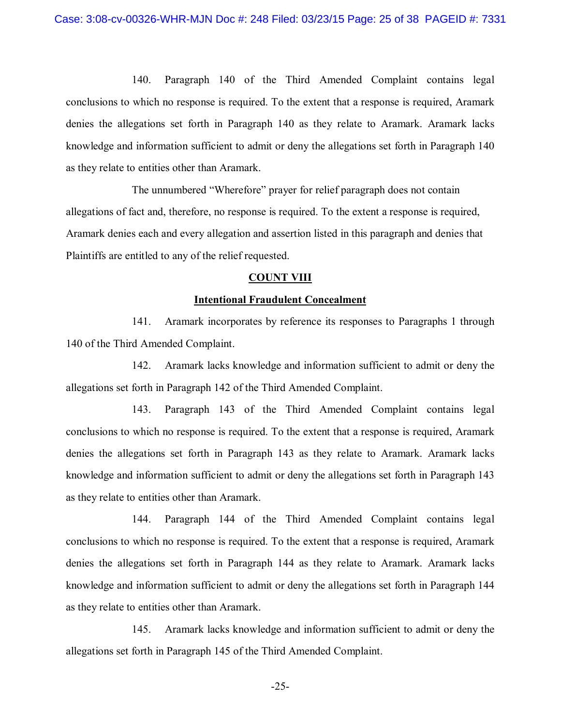140. Paragraph 140 of the Third Amended Complaint contains legal conclusions to which no response is required. To the extent that a response is required, Aramark denies the allegations set forth in Paragraph 140 as they relate to Aramark. Aramark lacks knowledge and information sufficient to admit or deny the allegations set forth in Paragraph 140 as they relate to entities other than Aramark.

The unnumbered "Wherefore" prayer for relief paragraph does not contain allegations of fact and, therefore, no response is required. To the extent a response is required, Aramark denies each and every allegation and assertion listed in this paragraph and denies that Plaintiffs are entitled to any of the relief requested.

#### **COUNT VIII**

#### **Intentional Fraudulent Concealment**

141. Aramark incorporates by reference its responses to Paragraphs 1 through 140 of the Third Amended Complaint.

142. Aramark lacks knowledge and information sufficient to admit or deny the allegations set forth in Paragraph 142 of the Third Amended Complaint.

143. Paragraph 143 of the Third Amended Complaint contains legal conclusions to which no response is required. To the extent that a response is required, Aramark denies the allegations set forth in Paragraph 143 as they relate to Aramark. Aramark lacks knowledge and information sufficient to admit or deny the allegations set forth in Paragraph 143 as they relate to entities other than Aramark.

144. Paragraph 144 of the Third Amended Complaint contains legal conclusions to which no response is required. To the extent that a response is required, Aramark denies the allegations set forth in Paragraph 144 as they relate to Aramark. Aramark lacks knowledge and information sufficient to admit or deny the allegations set forth in Paragraph 144 as they relate to entities other than Aramark.

145. Aramark lacks knowledge and information sufficient to admit or deny the allegations set forth in Paragraph 145 of the Third Amended Complaint.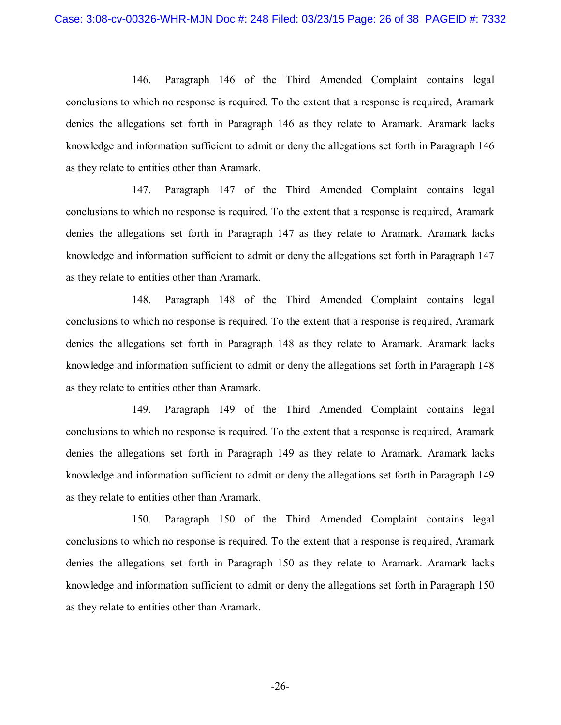146. Paragraph 146 of the Third Amended Complaint contains legal conclusions to which no response is required. To the extent that a response is required, Aramark denies the allegations set forth in Paragraph 146 as they relate to Aramark. Aramark lacks knowledge and information sufficient to admit or deny the allegations set forth in Paragraph 146 as they relate to entities other than Aramark.

147. Paragraph 147 of the Third Amended Complaint contains legal conclusions to which no response is required. To the extent that a response is required, Aramark denies the allegations set forth in Paragraph 147 as they relate to Aramark. Aramark lacks knowledge and information sufficient to admit or deny the allegations set forth in Paragraph 147 as they relate to entities other than Aramark.

148. Paragraph 148 of the Third Amended Complaint contains legal conclusions to which no response is required. To the extent that a response is required, Aramark denies the allegations set forth in Paragraph 148 as they relate to Aramark. Aramark lacks knowledge and information sufficient to admit or deny the allegations set forth in Paragraph 148 as they relate to entities other than Aramark.

149. Paragraph 149 of the Third Amended Complaint contains legal conclusions to which no response is required. To the extent that a response is required, Aramark denies the allegations set forth in Paragraph 149 as they relate to Aramark. Aramark lacks knowledge and information sufficient to admit or deny the allegations set forth in Paragraph 149 as they relate to entities other than Aramark.

150. Paragraph 150 of the Third Amended Complaint contains legal conclusions to which no response is required. To the extent that a response is required, Aramark denies the allegations set forth in Paragraph 150 as they relate to Aramark. Aramark lacks knowledge and information sufficient to admit or deny the allegations set forth in Paragraph 150 as they relate to entities other than Aramark.

-26-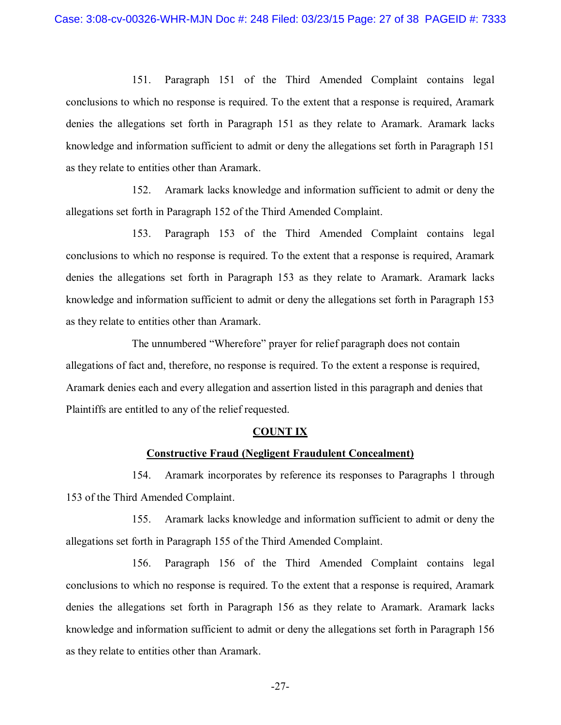151. Paragraph 151 of the Third Amended Complaint contains legal conclusions to which no response is required. To the extent that a response is required, Aramark denies the allegations set forth in Paragraph 151 as they relate to Aramark. Aramark lacks knowledge and information sufficient to admit or deny the allegations set forth in Paragraph 151 as they relate to entities other than Aramark.

152. Aramark lacks knowledge and information sufficient to admit or deny the allegations set forth in Paragraph 152 of the Third Amended Complaint.

153. Paragraph 153 of the Third Amended Complaint contains legal conclusions to which no response is required. To the extent that a response is required, Aramark denies the allegations set forth in Paragraph 153 as they relate to Aramark. Aramark lacks knowledge and information sufficient to admit or deny the allegations set forth in Paragraph 153 as they relate to entities other than Aramark.

The unnumbered "Wherefore" prayer for relief paragraph does not contain allegations of fact and, therefore, no response is required. To the extent a response is required, Aramark denies each and every allegation and assertion listed in this paragraph and denies that Plaintiffs are entitled to any of the relief requested.

#### **COUNT IX**

#### **Constructive Fraud (Negligent Fraudulent Concealment)**

154. Aramark incorporates by reference its responses to Paragraphs 1 through 153 of the Third Amended Complaint.

155. Aramark lacks knowledge and information sufficient to admit or deny the allegations set forth in Paragraph 155 of the Third Amended Complaint.

156. Paragraph 156 of the Third Amended Complaint contains legal conclusions to which no response is required. To the extent that a response is required, Aramark denies the allegations set forth in Paragraph 156 as they relate to Aramark. Aramark lacks knowledge and information sufficient to admit or deny the allegations set forth in Paragraph 156 as they relate to entities other than Aramark.

-27-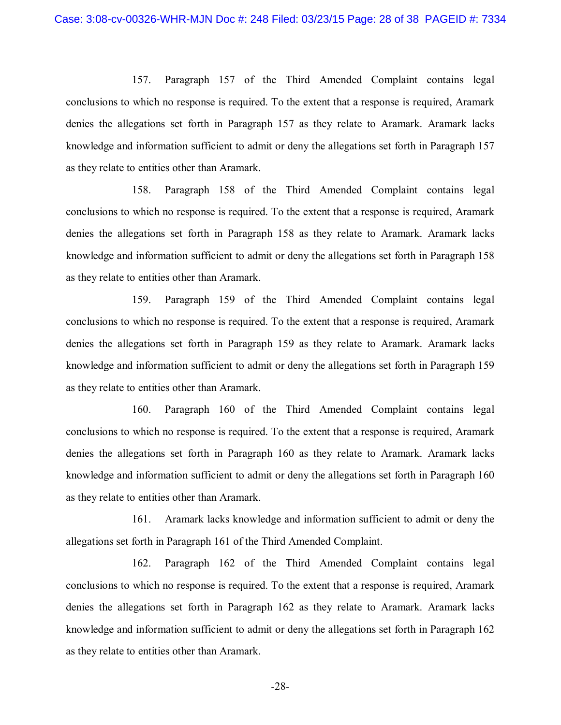157. Paragraph 157 of the Third Amended Complaint contains legal conclusions to which no response is required. To the extent that a response is required, Aramark denies the allegations set forth in Paragraph 157 as they relate to Aramark. Aramark lacks knowledge and information sufficient to admit or deny the allegations set forth in Paragraph 157 as they relate to entities other than Aramark.

158. Paragraph 158 of the Third Amended Complaint contains legal conclusions to which no response is required. To the extent that a response is required, Aramark denies the allegations set forth in Paragraph 158 as they relate to Aramark. Aramark lacks knowledge and information sufficient to admit or deny the allegations set forth in Paragraph 158 as they relate to entities other than Aramark.

159. Paragraph 159 of the Third Amended Complaint contains legal conclusions to which no response is required. To the extent that a response is required, Aramark denies the allegations set forth in Paragraph 159 as they relate to Aramark. Aramark lacks knowledge and information sufficient to admit or deny the allegations set forth in Paragraph 159 as they relate to entities other than Aramark.

160. Paragraph 160 of the Third Amended Complaint contains legal conclusions to which no response is required. To the extent that a response is required, Aramark denies the allegations set forth in Paragraph 160 as they relate to Aramark. Aramark lacks knowledge and information sufficient to admit or deny the allegations set forth in Paragraph 160 as they relate to entities other than Aramark.

161. Aramark lacks knowledge and information sufficient to admit or deny the allegations set forth in Paragraph 161 of the Third Amended Complaint.

162. Paragraph 162 of the Third Amended Complaint contains legal conclusions to which no response is required. To the extent that a response is required, Aramark denies the allegations set forth in Paragraph 162 as they relate to Aramark. Aramark lacks knowledge and information sufficient to admit or deny the allegations set forth in Paragraph 162 as they relate to entities other than Aramark.

-28-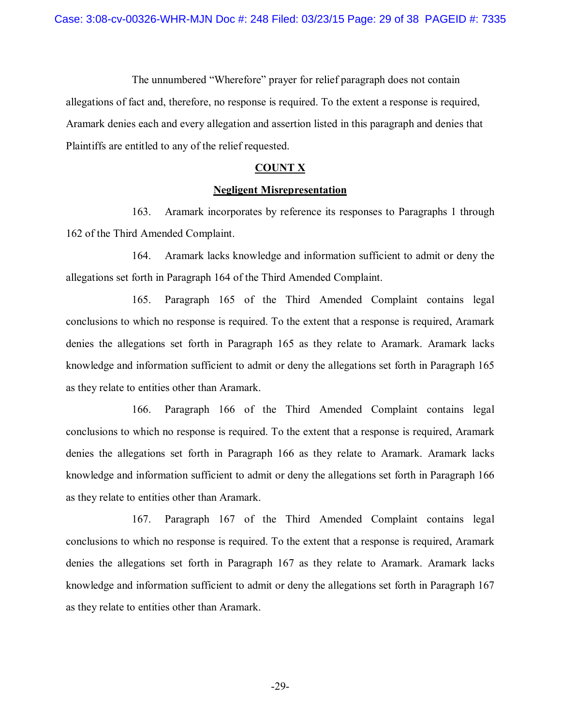The unnumbered "Wherefore" prayer for relief paragraph does not contain allegations of fact and, therefore, no response is required. To the extent a response is required, Aramark denies each and every allegation and assertion listed in this paragraph and denies that Plaintiffs are entitled to any of the relief requested.

#### **COUNT X**

#### **Negligent Misrepresentation**

163. Aramark incorporates by reference its responses to Paragraphs 1 through 162 of the Third Amended Complaint.

164. Aramark lacks knowledge and information sufficient to admit or deny the allegations set forth in Paragraph 164 of the Third Amended Complaint.

165. Paragraph 165 of the Third Amended Complaint contains legal conclusions to which no response is required. To the extent that a response is required, Aramark denies the allegations set forth in Paragraph 165 as they relate to Aramark. Aramark lacks knowledge and information sufficient to admit or deny the allegations set forth in Paragraph 165 as they relate to entities other than Aramark.

166. Paragraph 166 of the Third Amended Complaint contains legal conclusions to which no response is required. To the extent that a response is required, Aramark denies the allegations set forth in Paragraph 166 as they relate to Aramark. Aramark lacks knowledge and information sufficient to admit or deny the allegations set forth in Paragraph 166 as they relate to entities other than Aramark.

167. Paragraph 167 of the Third Amended Complaint contains legal conclusions to which no response is required. To the extent that a response is required, Aramark denies the allegations set forth in Paragraph 167 as they relate to Aramark. Aramark lacks knowledge and information sufficient to admit or deny the allegations set forth in Paragraph 167 as they relate to entities other than Aramark.

-29-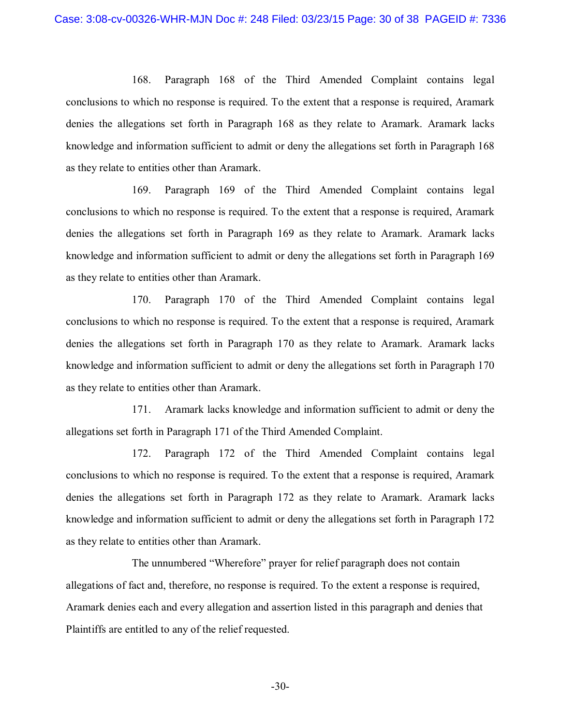168. Paragraph 168 of the Third Amended Complaint contains legal conclusions to which no response is required. To the extent that a response is required, Aramark denies the allegations set forth in Paragraph 168 as they relate to Aramark. Aramark lacks knowledge and information sufficient to admit or deny the allegations set forth in Paragraph 168 as they relate to entities other than Aramark.

169. Paragraph 169 of the Third Amended Complaint contains legal conclusions to which no response is required. To the extent that a response is required, Aramark denies the allegations set forth in Paragraph 169 as they relate to Aramark. Aramark lacks knowledge and information sufficient to admit or deny the allegations set forth in Paragraph 169 as they relate to entities other than Aramark.

170. Paragraph 170 of the Third Amended Complaint contains legal conclusions to which no response is required. To the extent that a response is required, Aramark denies the allegations set forth in Paragraph 170 as they relate to Aramark. Aramark lacks knowledge and information sufficient to admit or deny the allegations set forth in Paragraph 170 as they relate to entities other than Aramark.

171. Aramark lacks knowledge and information sufficient to admit or deny the allegations set forth in Paragraph 171 of the Third Amended Complaint.

172. Paragraph 172 of the Third Amended Complaint contains legal conclusions to which no response is required. To the extent that a response is required, Aramark denies the allegations set forth in Paragraph 172 as they relate to Aramark. Aramark lacks knowledge and information sufficient to admit or deny the allegations set forth in Paragraph 172 as they relate to entities other than Aramark.

The unnumbered "Wherefore" prayer for relief paragraph does not contain allegations of fact and, therefore, no response is required. To the extent a response is required, Aramark denies each and every allegation and assertion listed in this paragraph and denies that Plaintiffs are entitled to any of the relief requested.

-30-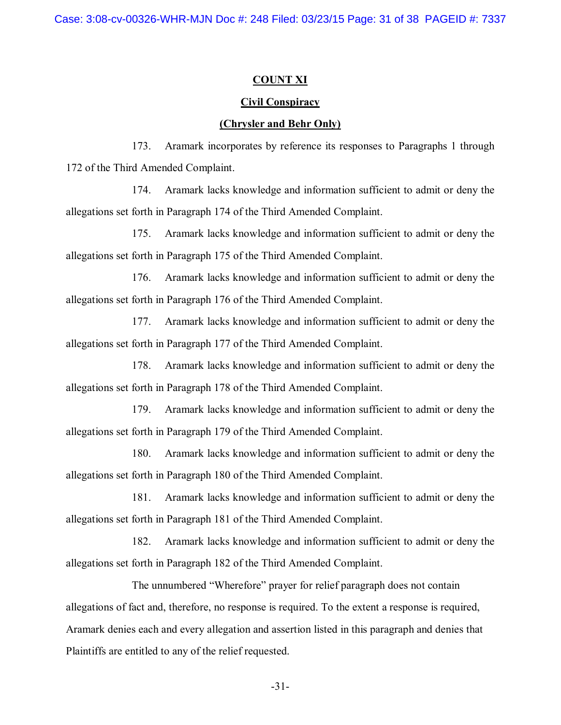### **COUNT XI**

#### **Civil Conspiracy**

#### **(Chrysler and Behr Only)**

173. Aramark incorporates by reference its responses to Paragraphs 1 through 172 of the Third Amended Complaint.

174. Aramark lacks knowledge and information sufficient to admit or deny the allegations set forth in Paragraph 174 of the Third Amended Complaint.

175. Aramark lacks knowledge and information sufficient to admit or deny the allegations set forth in Paragraph 175 of the Third Amended Complaint.

176. Aramark lacks knowledge and information sufficient to admit or deny the allegations set forth in Paragraph 176 of the Third Amended Complaint.

177. Aramark lacks knowledge and information sufficient to admit or deny the allegations set forth in Paragraph 177 of the Third Amended Complaint.

178. Aramark lacks knowledge and information sufficient to admit or deny the allegations set forth in Paragraph 178 of the Third Amended Complaint.

179. Aramark lacks knowledge and information sufficient to admit or deny the allegations set forth in Paragraph 179 of the Third Amended Complaint.

180. Aramark lacks knowledge and information sufficient to admit or deny the allegations set forth in Paragraph 180 of the Third Amended Complaint.

181. Aramark lacks knowledge and information sufficient to admit or deny the allegations set forth in Paragraph 181 of the Third Amended Complaint.

182. Aramark lacks knowledge and information sufficient to admit or deny the allegations set forth in Paragraph 182 of the Third Amended Complaint.

The unnumbered "Wherefore" prayer for relief paragraph does not contain allegations of fact and, therefore, no response is required. To the extent a response is required, Aramark denies each and every allegation and assertion listed in this paragraph and denies that Plaintiffs are entitled to any of the relief requested.

-31-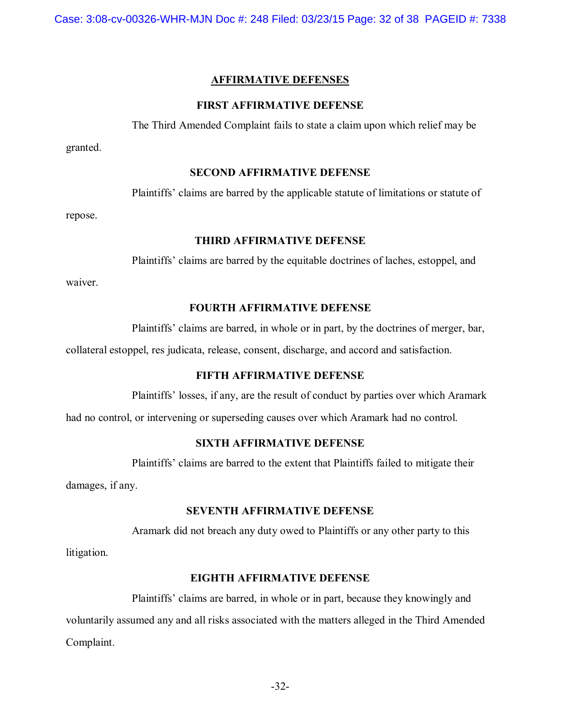Case: 3:08-cv-00326-WHR-MJN Doc #: 248 Filed: 03/23/15 Page: 32 of 38 PAGEID #: 7338

### **AFFIRMATIVE DEFENSES**

### **FIRST AFFIRMATIVE DEFENSE**

The Third Amended Complaint fails to state a claim upon which relief may be

granted.

#### **SECOND AFFIRMATIVE DEFENSE**

Plaintiffs' claims are barred by the applicable statute of limitations or statute of

repose.

#### **THIRD AFFIRMATIVE DEFENSE**

Plaintiffs' claims are barred by the equitable doctrines of laches, estoppel, and

waiver.

### **FOURTH AFFIRMATIVE DEFENSE**

Plaintiffs' claims are barred, in whole or in part, by the doctrines of merger, bar,

collateral estoppel, res judicata, release, consent, discharge, and accord and satisfaction.

## **FIFTH AFFIRMATIVE DEFENSE**

Plaintiffs' losses, if any, are the result of conduct by parties over which Aramark

had no control, or intervening or superseding causes over which Aramark had no control.

## **SIXTH AFFIRMATIVE DEFENSE**

Plaintiffs' claims are barred to the extent that Plaintiffs failed to mitigate their

damages, if any.

## **SEVENTH AFFIRMATIVE DEFENSE**

Aramark did not breach any duty owed to Plaintiffs or any other party to this

litigation.

#### **EIGHTH AFFIRMATIVE DEFENSE**

Plaintiffs' claims are barred, in whole or in part, because they knowingly and voluntarily assumed any and all risks associated with the matters alleged in the Third Amended Complaint.

-32-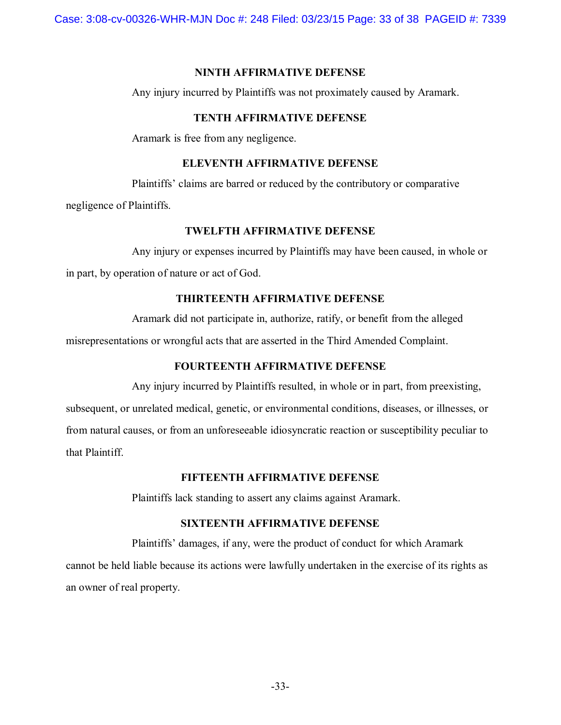### **NINTH AFFIRMATIVE DEFENSE**

Any injury incurred by Plaintiffs was not proximately caused by Aramark.

### **TENTH AFFIRMATIVE DEFENSE**

Aramark is free from any negligence.

## **ELEVENTH AFFIRMATIVE DEFENSE**

Plaintiffs' claims are barred or reduced by the contributory or comparative negligence of Plaintiffs.

## **TWELFTH AFFIRMATIVE DEFENSE**

Any injury or expenses incurred by Plaintiffs may have been caused, in whole or in part, by operation of nature or act of God.

### **THIRTEENTH AFFIRMATIVE DEFENSE**

Aramark did not participate in, authorize, ratify, or benefit from the alleged

misrepresentations or wrongful acts that are asserted in the Third Amended Complaint.

### **FOURTEENTH AFFIRMATIVE DEFENSE**

Any injury incurred by Plaintiffs resulted, in whole or in part, from preexisting, subsequent, or unrelated medical, genetic, or environmental conditions, diseases, or illnesses, or from natural causes, or from an unforeseeable idiosyncratic reaction or susceptibility peculiar to that Plaintiff.

### **FIFTEENTH AFFIRMATIVE DEFENSE**

Plaintiffs lack standing to assert any claims against Aramark.

### **SIXTEENTH AFFIRMATIVE DEFENSE**

Plaintiffs' damages, if any, were the product of conduct for which Aramark cannot be held liable because its actions were lawfully undertaken in the exercise of its rights as an owner of real property.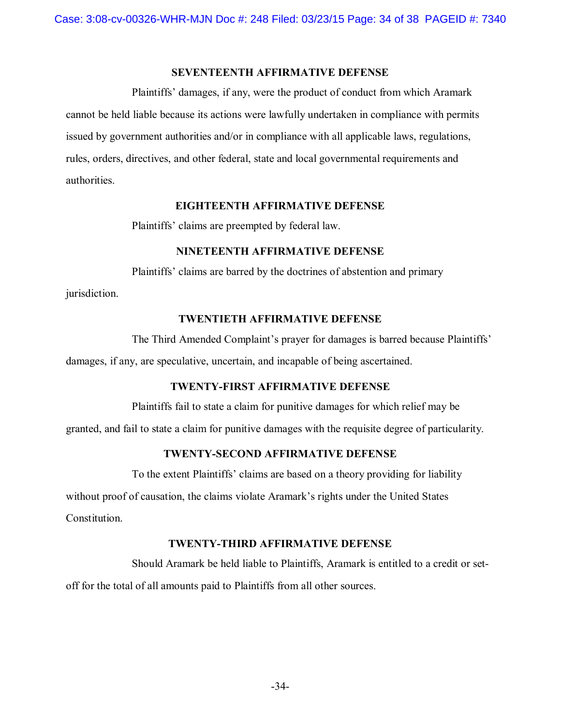## **SEVENTEENTH AFFIRMATIVE DEFENSE**

Plaintiffs' damages, if any, were the product of conduct from which Aramark cannot be held liable because its actions were lawfully undertaken in compliance with permits issued by government authorities and/or in compliance with all applicable laws, regulations, rules, orders, directives, and other federal, state and local governmental requirements and authorities.

#### **EIGHTEENTH AFFIRMATIVE DEFENSE**

Plaintiffs' claims are preempted by federal law.

### **NINETEENTH AFFIRMATIVE DEFENSE**

Plaintiffs' claims are barred by the doctrines of abstention and primary

jurisdiction.

## **TWENTIETH AFFIRMATIVE DEFENSE**

The Third Amended Complaint's prayer for damages is barred because Plaintiffs' damages, if any, are speculative, uncertain, and incapable of being ascertained.

## **TWENTY-FIRST AFFIRMATIVE DEFENSE**

Plaintiffs fail to state a claim for punitive damages for which relief may be

granted, and fail to state a claim for punitive damages with the requisite degree of particularity.

## **TWENTY-SECOND AFFIRMATIVE DEFENSE**

To the extent Plaintiffs' claims are based on a theory providing for liability

without proof of causation, the claims violate Aramark's rights under the United States

Constitution.

## **TWENTY-THIRD AFFIRMATIVE DEFENSE**

Should Aramark be held liable to Plaintiffs, Aramark is entitled to a credit or setoff for the total of all amounts paid to Plaintiffs from all other sources.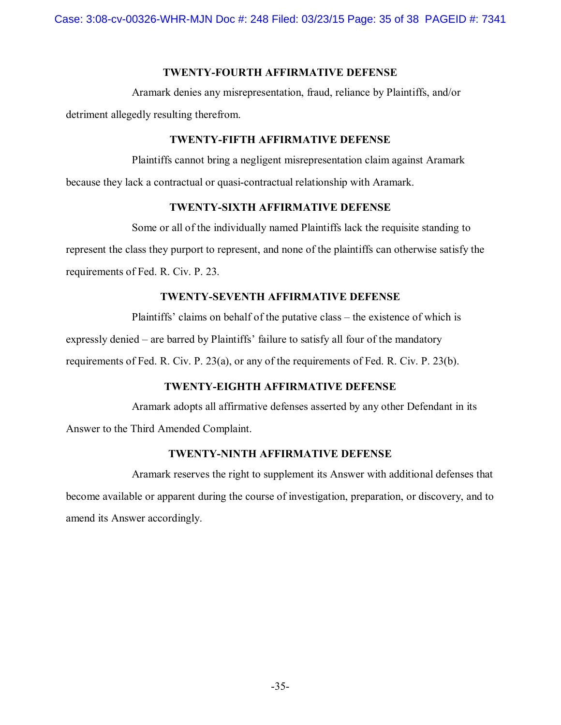## **TWENTY-FOURTH AFFIRMATIVE DEFENSE**

Aramark denies any misrepresentation, fraud, reliance by Plaintiffs, and/or detriment allegedly resulting therefrom.

## **TWENTY-FIFTH AFFIRMATIVE DEFENSE**

Plaintiffs cannot bring a negligent misrepresentation claim against Aramark because they lack a contractual or quasi-contractual relationship with Aramark.

## **TWENTY-SIXTH AFFIRMATIVE DEFENSE**

Some or all of the individually named Plaintiffs lack the requisite standing to represent the class they purport to represent, and none of the plaintiffs can otherwise satisfy the requirements of Fed. R. Civ. P. 23.

# **TWENTY-SEVENTH AFFIRMATIVE DEFENSE**

Plaintiffs' claims on behalf of the putative class – the existence of which is expressly denied – are barred by Plaintiffs' failure to satisfy all four of the mandatory requirements of Fed. R. Civ. P. 23(a), or any of the requirements of Fed. R. Civ. P. 23(b).

# **TWENTY-EIGHTH AFFIRMATIVE DEFENSE**

Aramark adopts all affirmative defenses asserted by any other Defendant in its Answer to the Third Amended Complaint.

# **TWENTY-NINTH AFFIRMATIVE DEFENSE**

Aramark reserves the right to supplement its Answer with additional defenses that become available or apparent during the course of investigation, preparation, or discovery, and to amend its Answer accordingly.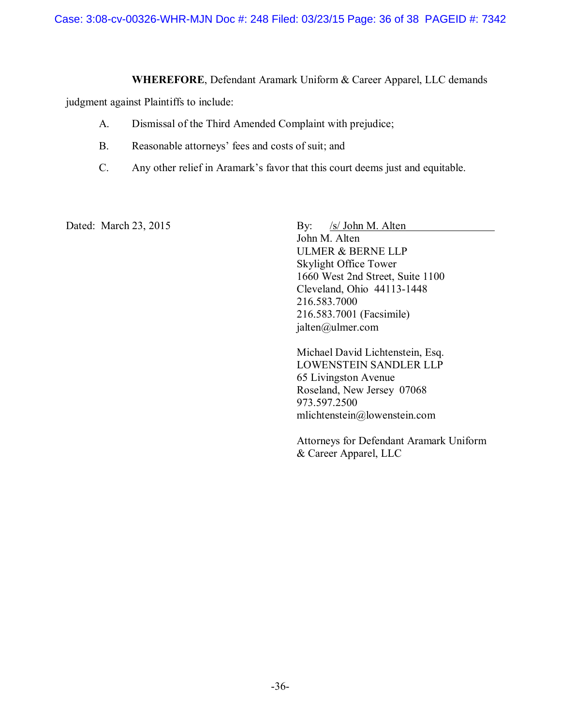### **WHEREFORE**, Defendant Aramark Uniform & Career Apparel, LLC demands

judgment against Plaintiffs to include:

- A. Dismissal of the Third Amended Complaint with prejudice;
- B. Reasonable attorneys' fees and costs of suit; and
- C. Any other relief in Aramark's favor that this court deems just and equitable.

Dated: March 23, 2015 By: /s/ John M. Alten

John M. Alten ULMER & BERNE LLP Skylight Office Tower 1660 West 2nd Street, Suite 1100 Cleveland, Ohio 44113-1448 216.583.7000 216.583.7001 (Facsimile) jalten@ulmer.com

Michael David Lichtenstein, Esq. LOWENSTEIN SANDLER LLP 65 Livingston Avenue Roseland, New Jersey 07068 973.597.2500 mlichtenstein@lowenstein.com

Attorneys for Defendant Aramark Uniform & Career Apparel, LLC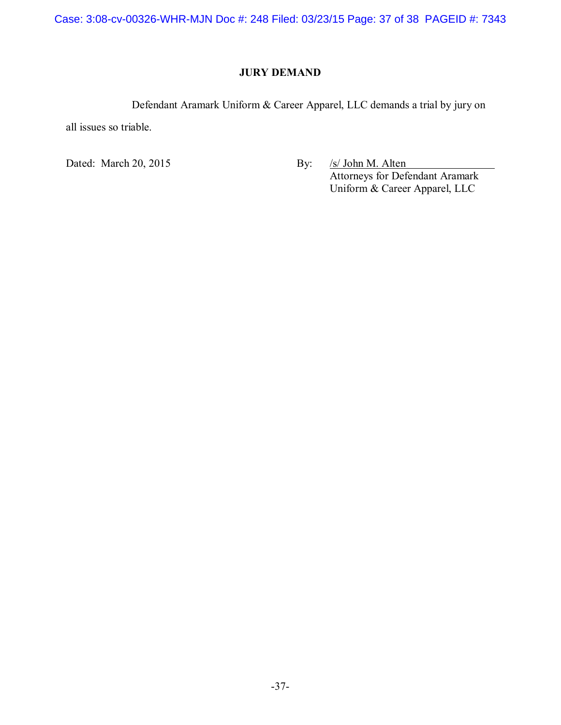Case: 3:08-cv-00326-WHR-MJN Doc #: 248 Filed: 03/23/15 Page: 37 of 38 PAGEID #: 7343

# **JURY DEMAND**

Defendant Aramark Uniform & Career Apparel, LLC demands a trial by jury on

all issues so triable.

Dated: March 20, 2015 By: /s/ John M. Alten Attorneys for Defendant Aramark Uniform & Career Apparel, LLC